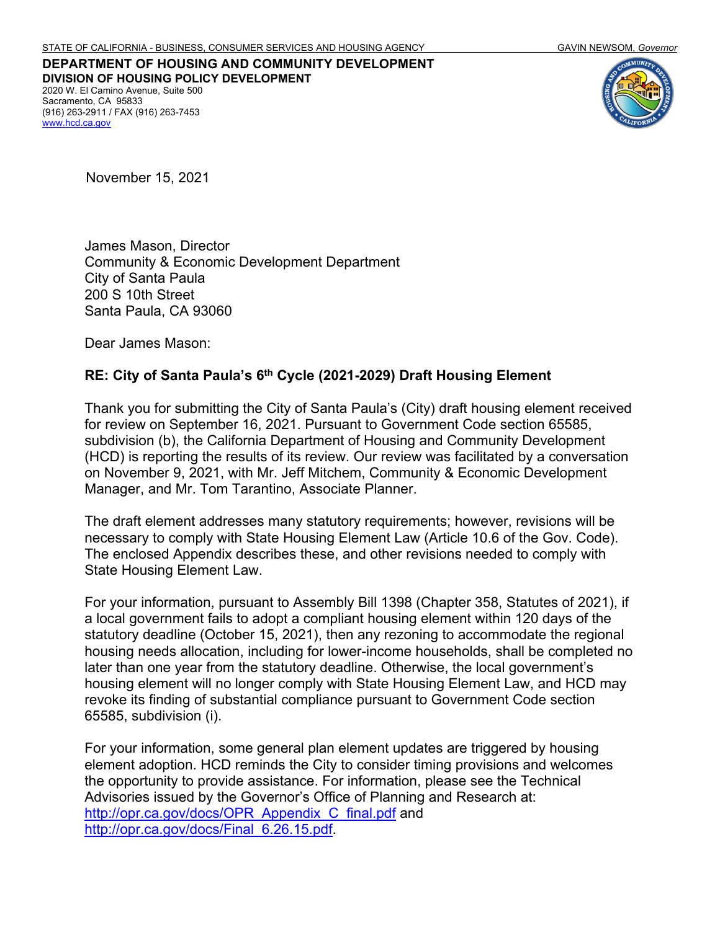**DEPARTMENT OF HOUSING AND COMMUNITY DEVELOPMENT DIVISION OF HOUSING POLICY DEVELOPMENT** 2020 W. El Camino Avenue, Suite 500 Sacramento, CA 95833 (916) 263-2911 / FAX (916) 263-7453 [www.hcd.ca.gov](http://www.hcd.ca.gov/)



November 15, 2021

James Mason, Director Community & Economic Development Department City of Santa Paula 200 S 10th Street Santa Paula, CA 93060

Dear James Mason:

#### **RE: City of Santa Paula's 6th Cycle (2021-2029) Draft Housing Element**

Thank you for submitting the City of Santa Paula's (City) draft housing element received for review on September 16, 2021. Pursuant to Government Code section 65585, subdivision (b), the California Department of Housing and Community Development (HCD) is reporting the results of its review. Our review was facilitated by a conversation on November 9, 2021, with Mr. Jeff Mitchem, Community & Economic Development Manager, and Mr. Tom Tarantino, Associate Planner.

The draft element addresses many statutory requirements; however, revisions will be necessary to comply with State Housing Element Law (Article 10.6 of the Gov. Code). The enclosed Appendix describes these, and other revisions needed to comply with State Housing Element Law.

For your information, pursuant to Assembly Bill 1398 (Chapter 358, Statutes of 2021), if a local government fails to adopt a compliant housing element within 120 days of the statutory deadline (October 15, 2021), then any rezoning to accommodate the regional housing needs allocation, including for lower-income households, shall be completed no later than one year from the statutory deadline. Otherwise, the local government's housing element will no longer comply with State Housing Element Law, and HCD may revoke its finding of substantial compliance pursuant to Government Code section 65585, subdivision (i).

For your information, some general plan element updates are triggered by housing element adoption. HCD reminds the City to consider timing provisions and welcomes the opportunity to provide assistance. For information, please see the Technical Advisories issued by the Governor's Office of Planning and Research at: [http://opr.ca.gov/docs/OPR\\_Appendix\\_C\\_final.pdf](http://opr.ca.gov/docs/OPR_Appendix_C_final.pdf) and [http://opr.ca.gov/docs/Final\\_6.26.15.pdf.](http://opr.ca.gov/docs/Final_6.26.15.pdf)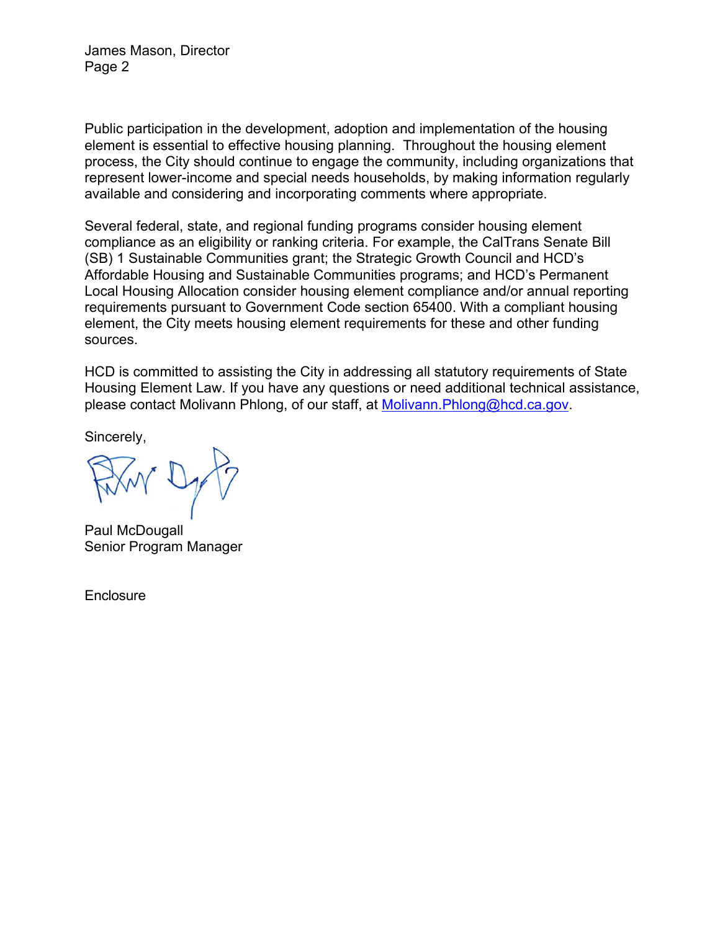James Mason, Director Page 2

Public participation in the development, adoption and implementation of the housing element is essential to effective housing planning. Throughout the housing element process, the City should continue to engage the community, including organizations that represent lower-income and special needs households, by making information regularly available and considering and incorporating comments where appropriate.

Several federal, state, and regional funding programs consider housing element compliance as an eligibility or ranking criteria. For example, the CalTrans Senate Bill (SB) 1 Sustainable Communities grant; the Strategic Growth Council and HCD's Affordable Housing and Sustainable Communities programs; and HCD's Permanent Local Housing Allocation consider housing element compliance and/or annual reporting requirements pursuant to Government Code section 65400. With a compliant housing element, the City meets housing element requirements for these and other funding sources.

HCD is committed to assisting the City in addressing all statutory requirements of State Housing Element Law. If you have any questions or need additional technical assistance, please contact Molivann Phlong, of our staff, at [Molivann.Phlong@hcd.ca.gov.](mailto:Molivann.Phlong@hcd.ca.gov)

Sincerely,

Paul McDougall Senior Program Manager

**Enclosure**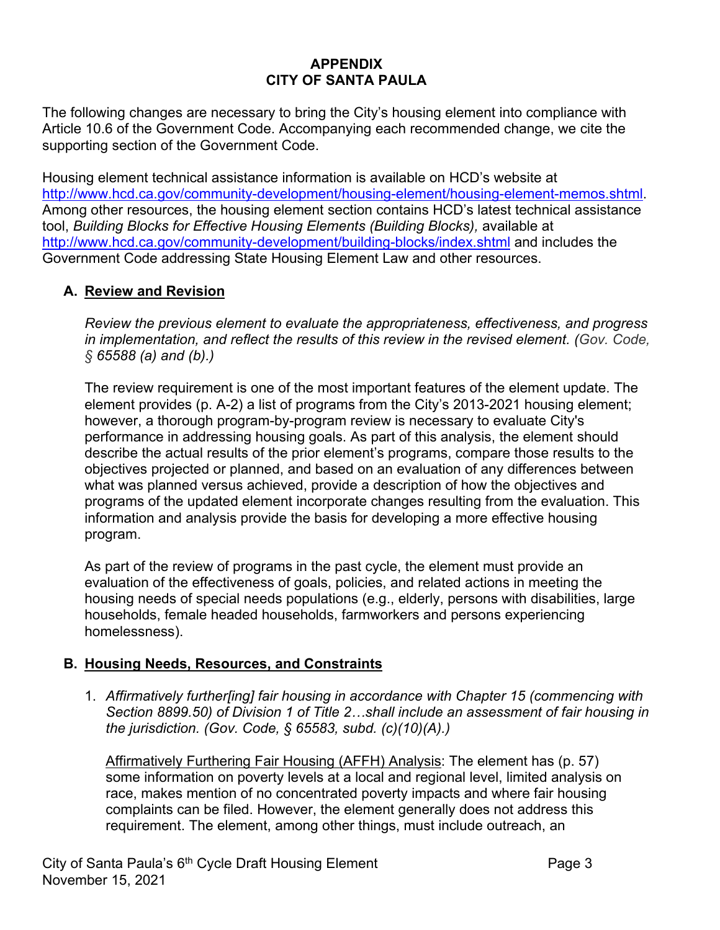# **APPENDIX CITY OF SANTA PAULA**

The following changes are necessary to bring the City's housing element into compliance with Article 10.6 of the Government Code. Accompanying each recommended change, we cite the supporting section of the Government Code.

Housing element technical assistance information is available on HCD's website at [http://www.hcd.ca.gov/community-development/housing-element/housing-element-memos.shtml.](http://www.hcd.ca.gov/community-development/housing-element/housing-element-memos.shtml) Among other resources, the housing element section contains HCD's latest technical assistance tool, *Building Blocks for Effective Housing Elements (Building Blocks)*, available at <http://www.hcd.ca.gov/community-development/building-blocks/index.shtml> and includes the Government Code addressing State Housing Element Law and other resources.

#### **A. Review and Revision**

*Review the previous element to evaluate the appropriateness, effectiveness, and progress in implementation, and reflect the results of this review in the revised element. (Gov. Code, § 65588 (a) and (b).)*

The review requirement is one of the most important features of the element update. The element provides (p. A-2) a list of programs from the City's 2013-2021 housing element; however, a thorough program-by-program review is necessary to evaluate City's performance in addressing housing goals. As part of this analysis, the element should describe the actual results of the prior element's programs, compare those results to the objectives projected or planned, and based on an evaluation of any differences between what was planned versus achieved, provide a description of how the objectives and programs of the updated element incorporate changes resulting from the evaluation. This information and analysis provide the basis for developing a more effective housing program.

As part of the review of programs in the past cycle, the element must provide an evaluation of the effectiveness of goals, policies, and related actions in meeting the housing needs of special needs populations (e.g., elderly, persons with disabilities, large households, female headed households, farmworkers and persons experiencing homelessness).

## **B. Housing Needs, Resources, and Constraints**

1. *Affirmatively further[ing] fair housing in accordance with Chapter 15 (commencing with Section 8899.50) of Division 1 of Title 2…shall include an assessment of fair housing in the jurisdiction. (Gov. Code, § 65583, subd. (c)(10)(A).)*

Affirmatively Furthering Fair Housing (AFFH) Analysis: The element has (p. 57) some information on poverty levels at a local and regional level, limited analysis on race, makes mention of no concentrated poverty impacts and where fair housing complaints can be filed. However, the element generally does not address this requirement. The element, among other things, must include outreach, an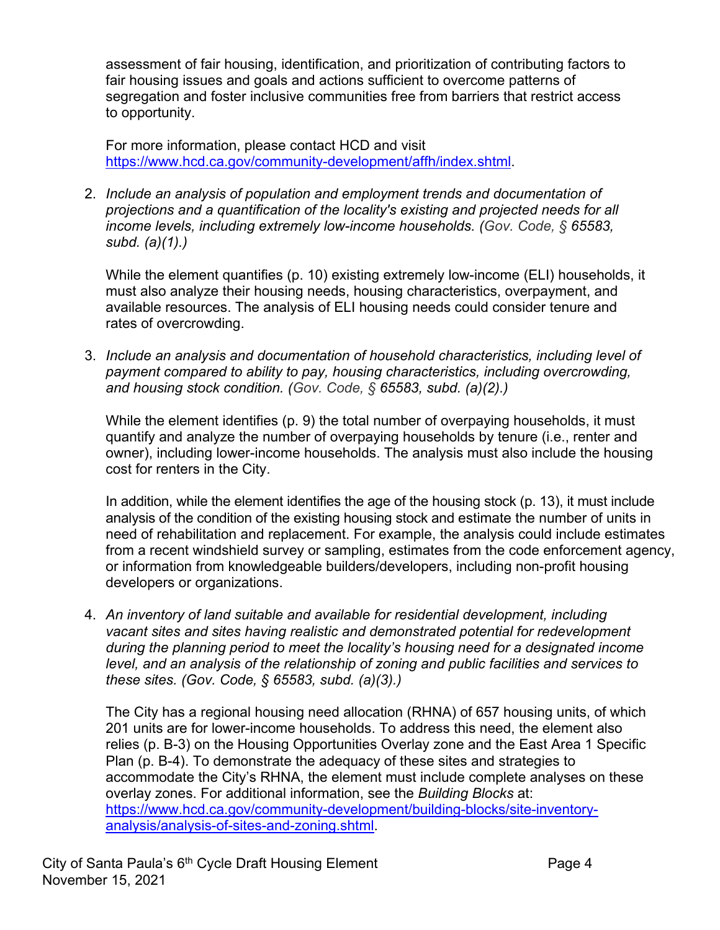assessment of fair housing, identification, and prioritization of contributing factors to fair housing issues and goals and actions sufficient to overcome patterns of segregation and foster inclusive communities free from barriers that restrict access to opportunity.

For more information, please contact HCD and visit [https://www.hcd.ca.gov/community-development/affh/index.shtml.](https://www.hcd.ca.gov/community-development/affh/index.shtml)

2. *Include an analysis of population and employment trends and documentation of projections and a quantification of the locality's existing and projected needs for all income levels, including extremely low-income households. (Gov. Code, § 65583, subd. (a)(1).)*

While the element quantifies (p. 10) existing extremely low-income (ELI) households, it must also analyze their housing needs, housing characteristics, overpayment, and available resources. The analysis of ELI housing needs could consider tenure and rates of overcrowding.

3. *Include an analysis and documentation of household characteristics, including level of payment compared to ability to pay, housing characteristics, including overcrowding, and housing stock condition. (Gov. Code, § 65583, subd. (a)(2).)*

While the element identifies (p. 9) the total number of overpaying households, it must quantify and analyze the number of overpaying households by tenure (i.e., renter and owner), including lower-income households. The analysis must also include the housing cost for renters in the City.

In addition, while the element identifies the age of the housing stock (p. 13), it must include analysis of the condition of the existing housing stock and estimate the number of units in need of rehabilitation and replacement. For example, the analysis could include estimates from a recent windshield survey or sampling, estimates from the code enforcement agency, or information from knowledgeable builders/developers, including non-profit housing developers or organizations.

4. *An inventory of land suitable and available for residential development, including vacant sites and sites having realistic and demonstrated potential for redevelopment during the planning period to meet the locality's housing need for a designated income level, and an analysis of the relationship of zoning and public facilities and services to these sites. (Gov. Code, § 65583, subd. (a)(3).)*

The City has a regional housing need allocation (RHNA) of 657 housing units, of which 201 units are for lower-income households. To address this need, the element also relies (p. B-3) on the Housing Opportunities Overlay zone and the East Area 1 Specific Plan (p. B-4). To demonstrate the adequacy of these sites and strategies to accommodate the City's RHNA, the element must include complete analyses on these overlay zones. For additional information, see the *Building Blocks* at: [https://www.hcd.ca.gov/community-development/building-blocks/site-inventory](https://www.hcd.ca.gov/community-development/building-blocks/site-inventory-analysis/analysis-of-sites-and-zoning.shtml)[analysis/analysis-of-sites-and-zoning.shtml.](https://www.hcd.ca.gov/community-development/building-blocks/site-inventory-analysis/analysis-of-sites-and-zoning.shtml)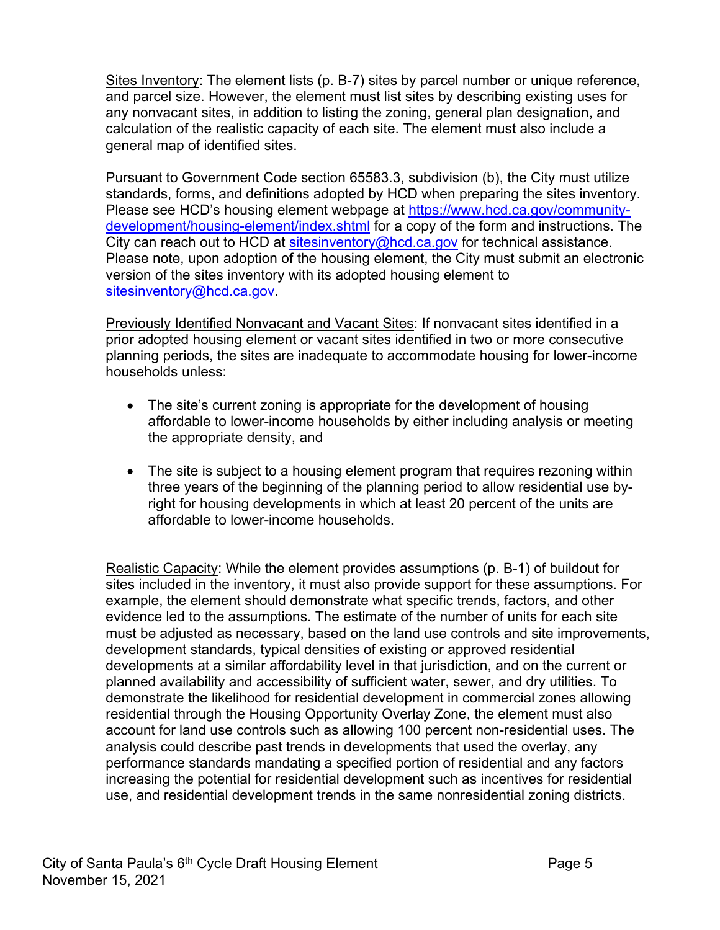Sites Inventory: The element lists (p. B-7) sites by parcel number or unique reference, and parcel size. However, the element must list sites by describing existing uses for any nonvacant sites, in addition to listing the zoning, general plan designation, and calculation of the realistic capacity of each site. The element must also include a general map of identified sites.

Pursuant to Government Code section 65583.3, subdivision (b), the City must utilize standards, forms, and definitions adopted by HCD when preparing the sites inventory. Please see HCD's housing element webpage at [https://www.hcd.ca.gov/community](https://www.hcd.ca.gov/community-development/housing-element/index.shtml)[development/housing-element/index.shtml](https://www.hcd.ca.gov/community-development/housing-element/index.shtml) for a copy of the form and instructions. The City can reach out to HCD at [sitesinventory@hcd.ca.gov](mailto:sitesinventory@hcd.ca.gov) for technical assistance. Please note, upon adoption of the housing element, the City must submit an electronic version of the sites inventory with its adopted housing element to [sitesinventory@hcd.ca.gov.](mailto:sitesinventory@hcd.ca.gov)

Previously Identified Nonvacant and Vacant Sites: If nonvacant sites identified in a prior adopted housing element or vacant sites identified in two or more consecutive planning periods, the sites are inadequate to accommodate housing for lower-income households unless:

- The site's current zoning is appropriate for the development of housing affordable to lower-income households by either including analysis or meeting the appropriate density, and
- The site is subject to a housing element program that requires rezoning within three years of the beginning of the planning period to allow residential use byright for housing developments in which at least 20 percent of the units are affordable to lower-income households.

Realistic Capacity: While the element provides assumptions (p. B-1) of buildout for sites included in the inventory, it must also provide support for these assumptions. For example, the element should demonstrate what specific trends, factors, and other evidence led to the assumptions. The estimate of the number of units for each site must be adjusted as necessary, based on the land use controls and site improvements, development standards, typical densities of existing or approved residential developments at a similar affordability level in that jurisdiction, and on the current or planned availability and accessibility of sufficient water, sewer, and dry utilities. To demonstrate the likelihood for residential development in commercial zones allowing residential through the Housing Opportunity Overlay Zone, the element must also account for land use controls such as allowing 100 percent non-residential uses. The analysis could describe past trends in developments that used the overlay, any performance standards mandating a specified portion of residential and any factors increasing the potential for residential development such as incentives for residential use, and residential development trends in the same nonresidential zoning districts.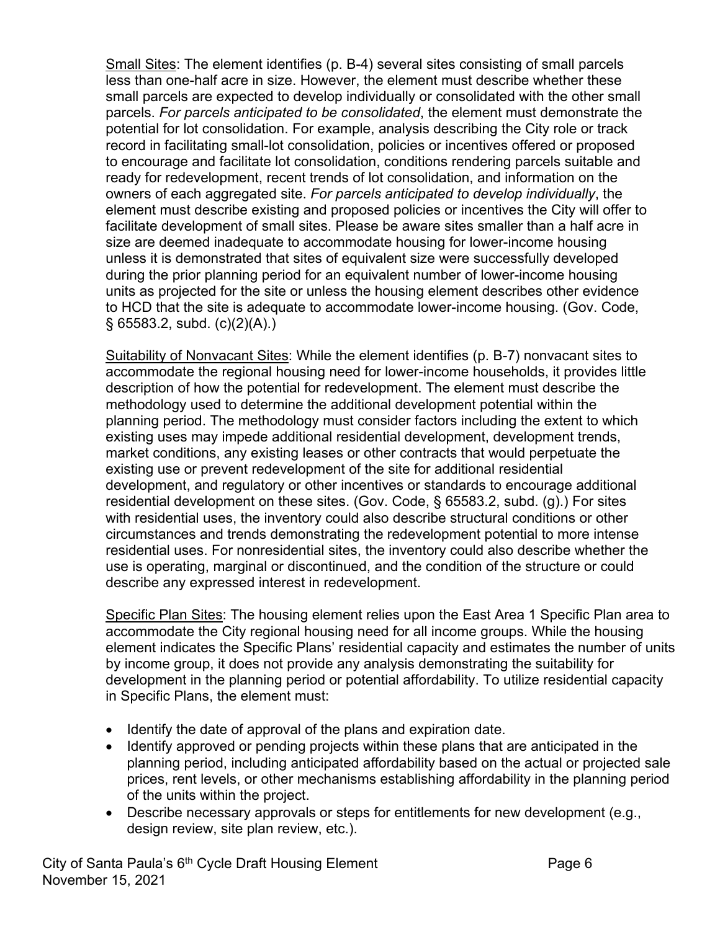Small Sites: The element identifies (p. B-4) several sites consisting of small parcels less than one-half acre in size. However, the element must describe whether these small parcels are expected to develop individually or consolidated with the other small parcels. *For parcels anticipated to be consolidated*, the element must demonstrate the potential for lot consolidation. For example, analysis describing the City role or track record in facilitating small-lot consolidation, policies or incentives offered or proposed to encourage and facilitate lot consolidation, conditions rendering parcels suitable and ready for redevelopment, recent trends of lot consolidation, and information on the owners of each aggregated site. *For parcels anticipated to develop individually*, the element must describe existing and proposed policies or incentives the City will offer to facilitate development of small sites. Please be aware sites smaller than a half acre in size are deemed inadequate to accommodate housing for lower-income housing unless it is demonstrated that sites of equivalent size were successfully developed during the prior planning period for an equivalent number of lower-income housing units as projected for the site or unless the housing element describes other evidence to HCD that the site is adequate to accommodate lower-income housing. (Gov. Code, § 65583.2, subd. (c)(2)(A).)

Suitability of Nonvacant Sites: While the element identifies (p. B-7) nonvacant sites to accommodate the regional housing need for lower-income households, it provides little description of how the potential for redevelopment. The element must describe the methodology used to determine the additional development potential within the planning period. The methodology must consider factors including the extent to which existing uses may impede additional residential development, development trends, market conditions, any existing leases or other contracts that would perpetuate the existing use or prevent redevelopment of the site for additional residential development, and regulatory or other incentives or standards to encourage additional residential development on these sites. (Gov. Code, § 65583.2, subd. (g).) For sites with residential uses, the inventory could also describe structural conditions or other circumstances and trends demonstrating the redevelopment potential to more intense residential uses. For nonresidential sites, the inventory could also describe whether the use is operating, marginal or discontinued, and the condition of the structure or could describe any expressed interest in redevelopment.

Specific Plan Sites: The housing element relies upon the East Area 1 Specific Plan area to accommodate the City regional housing need for all income groups. While the housing element indicates the Specific Plans' residential capacity and estimates the number of units by income group, it does not provide any analysis demonstrating the suitability for development in the planning period or potential affordability. To utilize residential capacity in Specific Plans, the element must:

- Identify the date of approval of the plans and expiration date.
- Identify approved or pending projects within these plans that are anticipated in the planning period, including anticipated affordability based on the actual or projected sale prices, rent levels, or other mechanisms establishing affordability in the planning period of the units within the project.
- Describe necessary approvals or steps for entitlements for new development (e.g., design review, site plan review, etc.).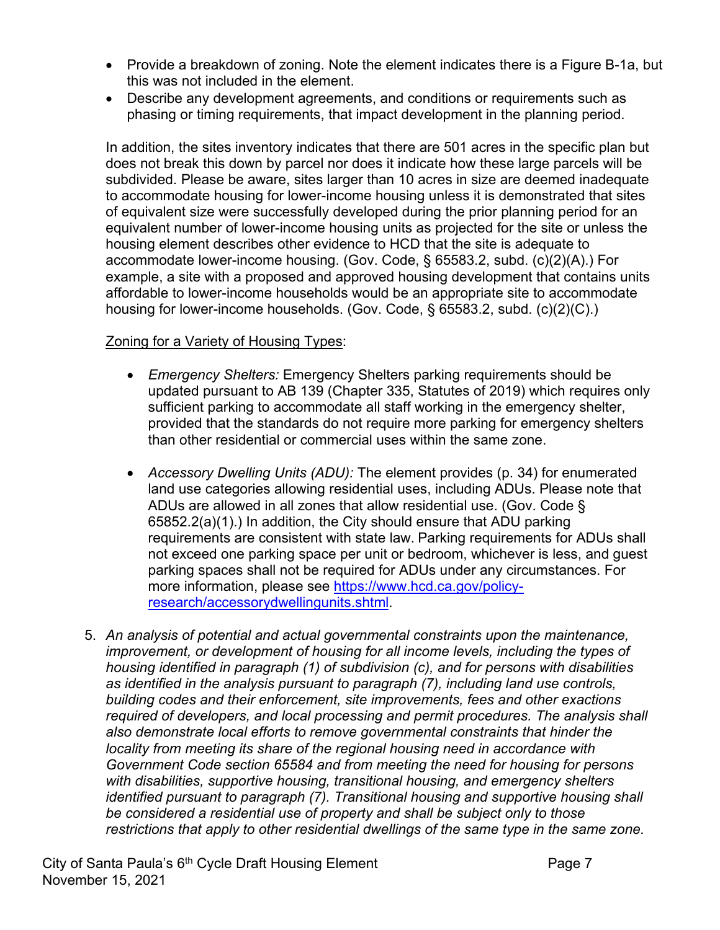- Provide a breakdown of zoning. Note the element indicates there is a Figure B-1a, but this was not included in the element.
- Describe any development agreements, and conditions or requirements such as phasing or timing requirements, that impact development in the planning period.

In addition, the sites inventory indicates that there are 501 acres in the specific plan but does not break this down by parcel nor does it indicate how these large parcels will be subdivided. Please be aware, sites larger than 10 acres in size are deemed inadequate to accommodate housing for lower-income housing unless it is demonstrated that sites of equivalent size were successfully developed during the prior planning period for an equivalent number of lower-income housing units as projected for the site or unless the housing element describes other evidence to HCD that the site is adequate to accommodate lower-income housing. (Gov. Code, § 65583.2, subd. (c)(2)(A).) For example, a site with a proposed and approved housing development that contains units affordable to lower-income households would be an appropriate site to accommodate housing for lower-income households. (Gov. Code, § 65583.2, subd. (c)(2)(C).)

## Zoning for a Variety of Housing Types:

- *Emergency Shelters:* Emergency Shelters parking requirements should be updated pursuant to AB 139 (Chapter 335, Statutes of 2019) which requires only sufficient parking to accommodate all staff working in the emergency shelter, provided that the standards do not require more parking for emergency shelters than other residential or commercial uses within the same zone.
- *Accessory Dwelling Units (ADU):* The element provides (p. 34) for enumerated land use categories allowing residential uses, including ADUs. Please note that ADUs are allowed in all zones that allow residential use. (Gov. Code § 65852.2(a)(1).) In addition, the City should ensure that ADU parking requirements are consistent with state law. Parking requirements for ADUs shall not exceed one parking space per unit or bedroom, whichever is less, and guest parking spaces shall not be required for ADUs under any circumstances. For more information, please see [https://www.hcd.ca.gov/policy](https://www.hcd.ca.gov/policy-research/accessorydwellingunits.shtml)[research/accessorydwellingunits.shtml.](https://www.hcd.ca.gov/policy-research/accessorydwellingunits.shtml)
- 5. *An analysis of potential and actual governmental constraints upon the maintenance, improvement, or development of housing for all income levels, including the types of housing identified in paragraph (1) of subdivision (c), and for persons with disabilities as identified in the analysis pursuant to paragraph (7), including land use controls, building codes and their enforcement, site improvements, fees and other exactions required of developers, and local processing and permit procedures. The analysis shall also demonstrate local efforts to remove governmental constraints that hinder the locality from meeting its share of the regional housing need in accordance with Government Code section 65584 and from meeting the need for housing for persons with disabilities, supportive housing, transitional housing, and emergency shelters identified pursuant to paragraph (7). Transitional housing and supportive housing shall be considered a residential use of property and shall be subject only to those restrictions that apply to other residential dwellings of the same type in the same zone.*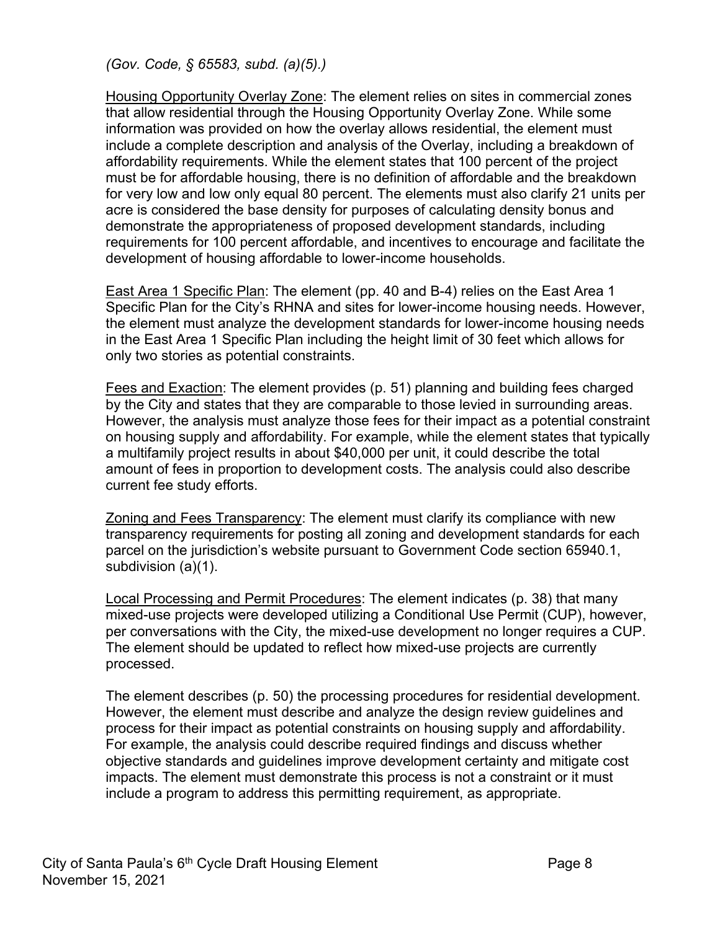*(Gov. Code, § 65583, subd. (a)(5).)*

Housing Opportunity Overlay Zone: The element relies on sites in commercial zones that allow residential through the Housing Opportunity Overlay Zone. While some information was provided on how the overlay allows residential, the element must include a complete description and analysis of the Overlay, including a breakdown of affordability requirements. While the element states that 100 percent of the project must be for affordable housing, there is no definition of affordable and the breakdown for very low and low only equal 80 percent. The elements must also clarify 21 units per acre is considered the base density for purposes of calculating density bonus and demonstrate the appropriateness of proposed development standards, including requirements for 100 percent affordable, and incentives to encourage and facilitate the development of housing affordable to lower-income households.

East Area 1 Specific Plan: The element (pp. 40 and B-4) relies on the East Area 1 Specific Plan for the City's RHNA and sites for lower-income housing needs. However, the element must analyze the development standards for lower-income housing needs in the East Area 1 Specific Plan including the height limit of 30 feet which allows for only two stories as potential constraints.

Fees and Exaction: The element provides (p. 51) planning and building fees charged by the City and states that they are comparable to those levied in surrounding areas. However, the analysis must analyze those fees for their impact as a potential constraint on housing supply and affordability. For example, while the element states that typically a multifamily project results in about \$40,000 per unit, it could describe the total amount of fees in proportion to development costs. The analysis could also describe current fee study efforts.

Zoning and Fees Transparency: The element must clarify its compliance with new transparency requirements for posting all zoning and development standards for each parcel on the jurisdiction's website pursuant to Government Code section 65940.1, subdivision (a)(1).

Local Processing and Permit Procedures: The element indicates (p. 38) that many mixed-use projects were developed utilizing a Conditional Use Permit (CUP), however, per conversations with the City, the mixed-use development no longer requires a CUP. The element should be updated to reflect how mixed-use projects are currently processed.

The element describes (p. 50) the processing procedures for residential development. However, the element must describe and analyze the design review guidelines and process for their impact as potential constraints on housing supply and affordability. For example, the analysis could describe required findings and discuss whether objective standards and guidelines improve development certainty and mitigate cost impacts. The element must demonstrate this process is not a constraint or it must include a program to address this permitting requirement, as appropriate.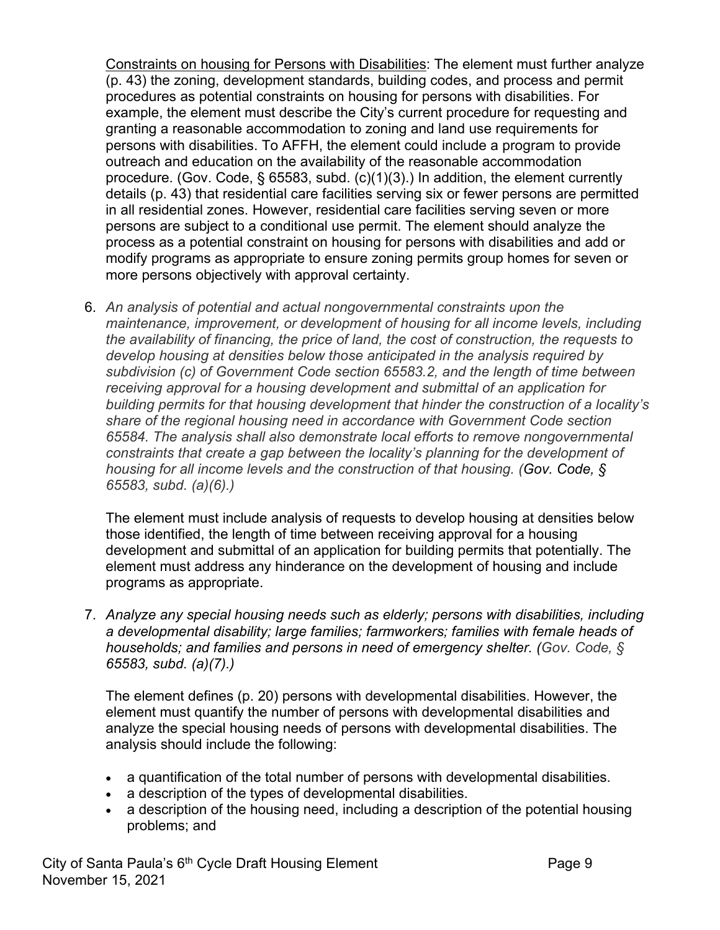Constraints on housing for Persons with Disabilities: The element must further analyze (p. 43) the zoning, development standards, building codes, and process and permit procedures as potential constraints on housing for persons with disabilities. For example, the element must describe the City's current procedure for requesting and granting a reasonable accommodation to zoning and land use requirements for persons with disabilities. To AFFH, the element could include a program to provide outreach and education on the availability of the reasonable accommodation procedure. (Gov. Code, § 65583, subd. (c)(1)(3).) In addition, the element currently details (p. 43) that residential care facilities serving six or fewer persons are permitted in all residential zones. However, residential care facilities serving seven or more persons are subject to a conditional use permit. The element should analyze the process as a potential constraint on housing for persons with disabilities and add or modify programs as appropriate to ensure zoning permits group homes for seven or more persons objectively with approval certainty.

6. *An analysis of potential and actual nongovernmental constraints upon the maintenance, improvement, or development of housing for all income levels, including the availability of financing, the price of land, the cost of construction, the requests to develop housing at densities below those anticipated in the analysis required by subdivision (c) of Government Code section 65583.2, and the length of time between receiving approval for a housing development and submittal of an application for building permits for that housing development that hinder the construction of a locality's share of the regional housing need in accordance with Government Code section 65584. The analysis shall also demonstrate local efforts to remove nongovernmental constraints that create a gap between the locality's planning for the development of housing for all income levels and the construction of that housing. (Gov. Code, § 65583, subd. (a)(6).)*

The element must include analysis of requests to develop housing at densities below those identified, the length of time between receiving approval for a housing development and submittal of an application for building permits that potentially. The element must address any hinderance on the development of housing and include programs as appropriate.

7. *Analyze any special housing needs such as elderly; persons with disabilities, including a developmental disability; large families; farmworkers; families with female heads of households; and families and persons in need of emergency shelter. (Gov. Code, § 65583, subd. (a)(7).)*

The element defines (p. 20) persons with developmental disabilities. However, the element must quantify the number of persons with developmental disabilities and analyze the special housing needs of persons with developmental disabilities. The analysis should include the following:

- a quantification of the total number of persons with developmental disabilities.
- a description of the types of developmental disabilities.
- a description of the housing need, including a description of the potential housing problems; and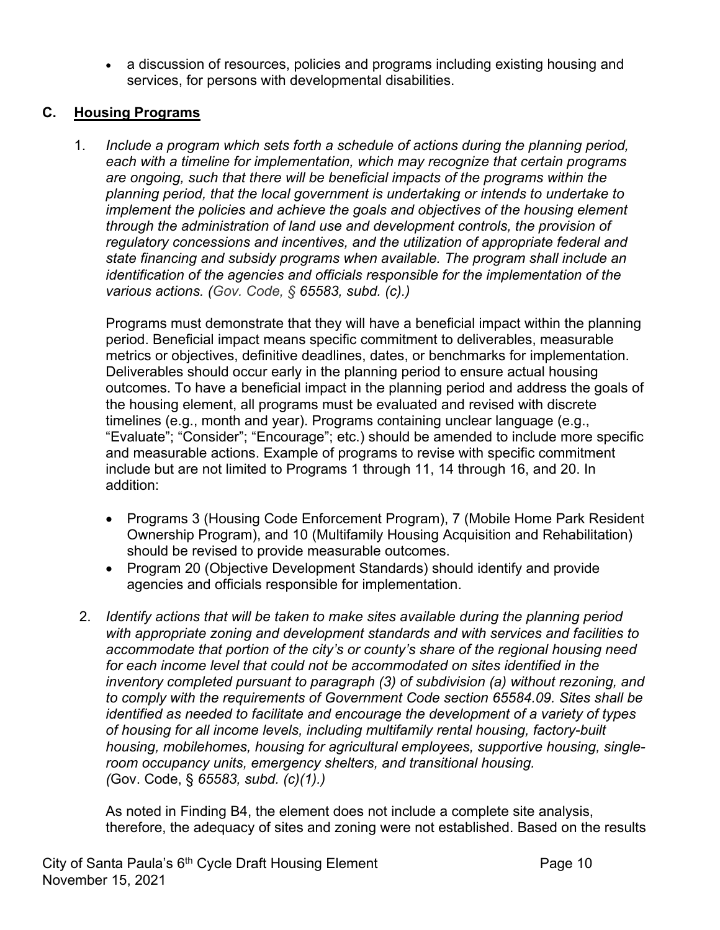• a discussion of resources, policies and programs including existing housing and services, for persons with developmental disabilities.

# **C. Housing Programs**

1. *Include a program which sets forth a schedule of actions during the planning period, each with a timeline for implementation, which may recognize that certain programs are ongoing, such that there will be beneficial impacts of the programs within the planning period, that the local government is undertaking or intends to undertake to implement the policies and achieve the goals and objectives of the housing element through the administration of land use and development controls, the provision of regulatory concessions and incentives, and the utilization of appropriate federal and state financing and subsidy programs when available. The program shall include an identification of the agencies and officials responsible for the implementation of the various actions. (Gov. Code, § 65583, subd. (c).)*

Programs must demonstrate that they will have a beneficial impact within the planning period. Beneficial impact means specific commitment to deliverables, measurable metrics or objectives, definitive deadlines, dates, or benchmarks for implementation. Deliverables should occur early in the planning period to ensure actual housing outcomes. To have a beneficial impact in the planning period and address the goals of the housing element, all programs must be evaluated and revised with discrete timelines (e.g., month and year). Programs containing unclear language (e.g., "Evaluate"; "Consider"; "Encourage"; etc.) should be amended to include more specific and measurable actions. Example of programs to revise with specific commitment include but are not limited to Programs 1 through 11, 14 through 16, and 20. In addition:

- Programs 3 (Housing Code Enforcement Program), 7 (Mobile Home Park Resident Ownership Program), and 10 (Multifamily Housing Acquisition and Rehabilitation) should be revised to provide measurable outcomes.
- Program 20 (Objective Development Standards) should identify and provide agencies and officials responsible for implementation.
- 2. *Identify actions that will be taken to make sites available during the planning period with appropriate zoning and development standards and with services and facilities to accommodate that portion of the city's or county's share of the regional housing need*  for each income level that could not be accommodated on sites identified in the *inventory completed pursuant to paragraph (3) of subdivision (a) without rezoning, and to comply with the requirements of Government Code section 65584.09. Sites shall be identified as needed to facilitate and encourage the development of a variety of types of housing for all income levels, including multifamily rental housing, factory-built housing, mobilehomes, housing for agricultural employees, supportive housing, singleroom occupancy units, emergency shelters, and transitional housing. (*Gov. Code, § *65583, subd. (c)(1).)*

As noted in Finding B4, the element does not include a complete site analysis, therefore, the adequacy of sites and zoning were not established. Based on the results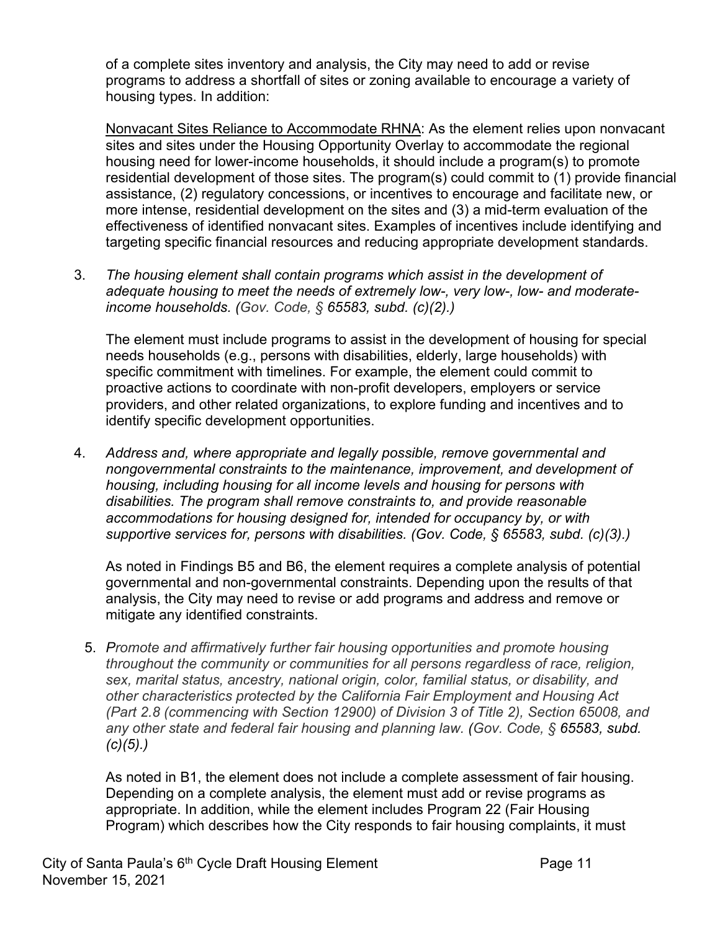of a complete sites inventory and analysis, the City may need to add or revise programs to address a shortfall of sites or zoning available to encourage a variety of housing types. In addition:

Nonvacant Sites Reliance to Accommodate RHNA: As the element relies upon nonvacant sites and sites under the Housing Opportunity Overlay to accommodate the regional housing need for lower-income households, it should include a program(s) to promote residential development of those sites. The program(s) could commit to (1) provide financial assistance, (2) regulatory concessions, or incentives to encourage and facilitate new, or more intense, residential development on the sites and (3) a mid-term evaluation of the effectiveness of identified nonvacant sites. Examples of incentives include identifying and targeting specific financial resources and reducing appropriate development standards.

3. *The housing element shall contain programs which assist in the development of adequate housing to meet the needs of extremely low-, very low-, low- and moderateincome households. (Gov. Code, § 65583, subd. (c)(2).)*

The element must include programs to assist in the development of housing for special needs households (e.g., persons with disabilities, elderly, large households) with specific commitment with timelines. For example, the element could commit to proactive actions to coordinate with non-profit developers, employers or service providers, and other related organizations, to explore funding and incentives and to identify specific development opportunities.

4. *Address and, where appropriate and legally possible, remove governmental and nongovernmental constraints to the maintenance, improvement, and development of housing, including housing for all income levels and housing for persons with disabilities. The program shall remove constraints to, and provide reasonable accommodations for housing designed for, intended for occupancy by, or with supportive services for, persons with disabilities. (Gov. Code, § 65583, subd. (c)(3).)*

As noted in Findings B5 and B6, the element requires a complete analysis of potential governmental and non-governmental constraints. Depending upon the results of that analysis, the City may need to revise or add programs and address and remove or mitigate any identified constraints.

5. *Promote and affirmatively further fair housing opportunities and promote housing throughout the community or communities for all persons regardless of race, religion, sex, marital status, ancestry, national origin, color, familial status, or disability, and other characteristics protected by the California Fair Employment and Housing Act (Part 2.8 (commencing with Section 12900) of Division 3 of Title 2), Section 65008, and any other state and federal fair housing and planning law. (Gov. Code, § 65583, subd. (c)(5).)*

As noted in B1, the element does not include a complete assessment of fair housing. Depending on a complete analysis, the element must add or revise programs as appropriate. In addition, while the element includes Program 22 (Fair Housing Program) which describes how the City responds to fair housing complaints, it must